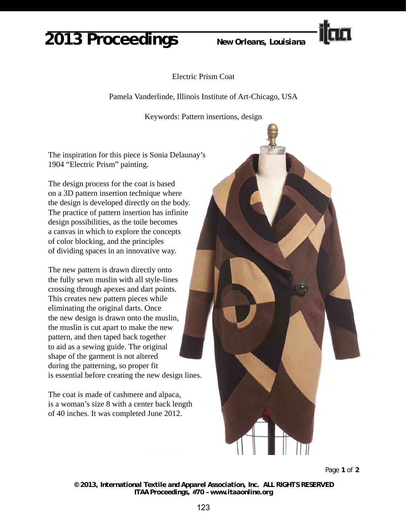## **2013 Proceedings** *New Orleans, Louisiana*



Electric Prism Coat

Pamela Vanderlinde, Illinois Institute of Art-Chicago, USA

Keywords: Pattern insertions, design

The inspiration for this piece is Sonia Delaunay's 1904 "Electric Prism" painting.

The design process for the coat is based on a 3D pattern insertion technique where the design is developed directly on the body. The practice of pattern insertion has infinite design possibilities, as the toile becomes a canvas in which to explore the concepts of color blocking, and the principles of dividing spaces in an innovative way.

The new pattern is drawn directly onto the fully sewn muslin with all style-lines crossing through apexes and dart points. This creates new pattern pieces while eliminating the original darts. Once the new design is drawn onto the muslin, the muslin is cut apart to make the new pattern, and then taped back together to aid as a sewing guide. The original shape of the garment is not altered during the patterning, so proper fit is essential before creating the new design lines.

The coat is made of cashmere and alpaca, is a woman's size 8 with a center back length of 40 inches. It was completed June 2012.



Page **1** of **2**

*© 2013, International Textile and Apparel Association, Inc. ALL RIGHTS RESERVED ITAA Proceedings, #70 – www.itaaonline.org*